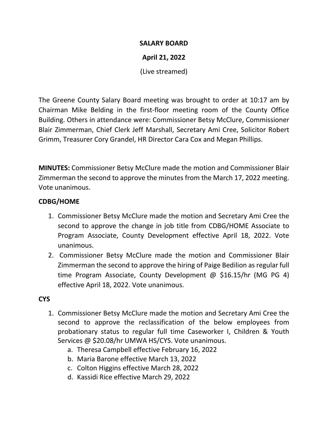### **SALARY BOARD**

# **April 21, 2022**

(Live streamed)

The Greene County Salary Board meeting was brought to order at 10:17 am by Chairman Mike Belding in the first-floor meeting room of the County Office Building. Others in attendance were: Commissioner Betsy McClure, Commissioner Blair Zimmerman, Chief Clerk Jeff Marshall, Secretary Ami Cree, Solicitor Robert Grimm, Treasurer Cory Grandel, HR Director Cara Cox and Megan Phillips.

**MINUTES:** Commissioner Betsy McClure made the motion and Commissioner Blair Zimmerman the second to approve the minutes from the March 17, 2022 meeting. Vote unanimous.

# **CDBG/HOME**

- 1. Commissioner Betsy McClure made the motion and Secretary Ami Cree the second to approve the change in job title from CDBG/HOME Associate to Program Associate, County Development effective April 18, 2022. Vote unanimous.
- 2. Commissioner Betsy McClure made the motion and Commissioner Blair Zimmerman the second to approve the hiring of Paige Bedilion as regular full time Program Associate, County Development @ \$16.15/hr (MG PG 4) effective April 18, 2022. Vote unanimous.

# **CYS**

- 1. Commissioner Betsy McClure made the motion and Secretary Ami Cree the second to approve the reclassification of the below employees from probationary status to regular full time Caseworker I, Children & Youth Services @ \$20.08/hr UMWA HS/CYS. Vote unanimous.
	- a. Theresa Campbell effective February 16, 2022
	- b. Maria Barone effective March 13, 2022
	- c. Colton Higgins effective March 28, 2022
	- d. Kassidi Rice effective March 29, 2022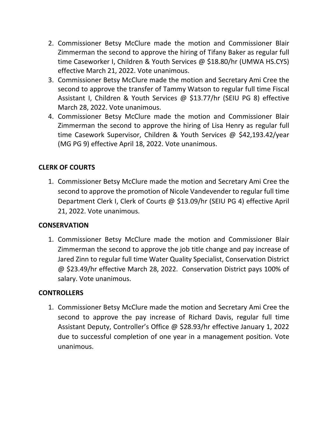- 2. Commissioner Betsy McClure made the motion and Commissioner Blair Zimmerman the second to approve the hiring of Tifany Baker as regular full time Caseworker I, Children & Youth Services @ \$18.80/hr (UMWA HS.CYS) effective March 21, 2022. Vote unanimous.
- 3. Commissioner Betsy McClure made the motion and Secretary Ami Cree the second to approve the transfer of Tammy Watson to regular full time Fiscal Assistant I, Children & Youth Services @ \$13.77/hr (SEIU PG 8) effective March 28, 2022. Vote unanimous.
- 4. Commissioner Betsy McClure made the motion and Commissioner Blair Zimmerman the second to approve the hiring of Lisa Henry as regular full time Casework Supervisor, Children & Youth Services @ \$42,193.42/year (MG PG 9) effective April 18, 2022. Vote unanimous.

# **CLERK OF COURTS**

1. Commissioner Betsy McClure made the motion and Secretary Ami Cree the second to approve the promotion of Nicole Vandevender to regular full time Department Clerk I, Clerk of Courts @ \$13.09/hr (SEIU PG 4) effective April 21, 2022. Vote unanimous.

### **CONSERVATION**

1. Commissioner Betsy McClure made the motion and Commissioner Blair Zimmerman the second to approve the job title change and pay increase of Jared Zinn to regular full time Water Quality Specialist, Conservation District @ \$23.49/hr effective March 28, 2022. Conservation District pays 100% of salary. Vote unanimous.

# **CONTROLLERS**

1. Commissioner Betsy McClure made the motion and Secretary Ami Cree the second to approve the pay increase of Richard Davis, regular full time Assistant Deputy, Controller's Office @ \$28.93/hr effective January 1, 2022 due to successful completion of one year in a management position. Vote unanimous.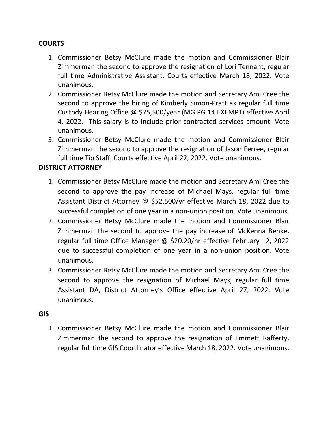# **COURTS**

- 1. Commissioner Betsy McClure made the motion and Commissioner Blair Zimmerman the second to approve the resignation of Lori Tennant, regular full time Administrative Assistant, Courts effective March 18, 2022. Vote unanimous.
- 2. Commissioner Betsy McClure made the motion and Secretary Ami Cree the second to approve the hiring of Kimberly Simon-Pratt as regular full time Custody Hearing Office @ \$75,500/year (MG PG 14 EXEMPT) effective April 4, 2022. This salary is to include prior contracted services amount. Vote unanimous.
- 3. Commissioner Betsy McClure made the motion and Commissioner Blair Zimmerman the second to approve the resignation of Jason Ferree, regular full time Tip Staff, Courts effective April 22, 2022. Vote unanimous.

# **DISTRICT ATTORNEY**

- 1. Commissioner Betsy McClure made the motion and Secretary Ami Cree the second to approve the pay increase of Michael Mays, regular full time Assistant District Attorney @ \$52,500/yr effective March 18, 2022 due to successful completion of one year in a non-union position. Vote unanimous.
- 2. Commissioner Betsy McClure made the motion and Commissioner Blair Zimmerman the second to approve the pay increase of McKenna Benke, regular full time Office Manager @ \$20.20/hr effective February 12, 2022 due to successful completion of one year in a non-union position. Vote unanimous.
- 3. Commissioner Betsy McClure made the motion and Secretary Ami Cree the second to approve the resignation of Michael Mays, regular full time Assistant DA, District Attorney's Office effective April 27, 2022. Vote unanimous.

#### **GIS**

1. Commissioner Betsy McClure made the motion and Commissioner Blair Zimmerman the second to approve the resignation of Emmett Rafferty, regular full time GIS Coordinator effective March 18, 2022. Vote unanimous.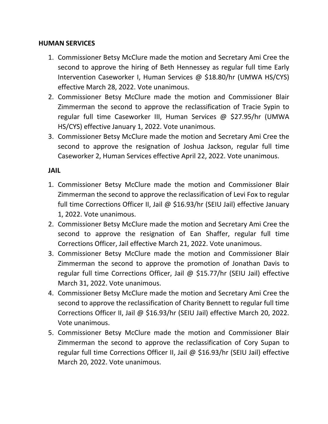### **HUMAN SERVICES**

- 1. Commissioner Betsy McClure made the motion and Secretary Ami Cree the second to approve the hiring of Beth Hennessey as regular full time Early Intervention Caseworker I, Human Services @ \$18.80/hr (UMWA HS/CYS) effective March 28, 2022. Vote unanimous.
- 2. Commissioner Betsy McClure made the motion and Commissioner Blair Zimmerman the second to approve the reclassification of Tracie Sypin to regular full time Caseworker III, Human Services @ \$27.95/hr (UMWA HS/CYS) effective January 1, 2022. Vote unanimous.
- 3. Commissioner Betsy McClure made the motion and Secretary Ami Cree the second to approve the resignation of Joshua Jackson, regular full time Caseworker 2, Human Services effective April 22, 2022. Vote unanimous.

### **JAIL**

- 1. Commissioner Betsy McClure made the motion and Commissioner Blair Zimmerman the second to approve the reclassification of Levi Fox to regular full time Corrections Officer II, Jail @ \$16.93/hr (SEIU Jail) effective January 1, 2022. Vote unanimous.
- 2. Commissioner Betsy McClure made the motion and Secretary Ami Cree the second to approve the resignation of Ean Shaffer, regular full time Corrections Officer, Jail effective March 21, 2022. Vote unanimous.
- 3. Commissioner Betsy McClure made the motion and Commissioner Blair Zimmerman the second to approve the promotion of Jonathan Davis to regular full time Corrections Officer, Jail @ \$15.77/hr (SEIU Jail) effective March 31, 2022. Vote unanimous.
- 4. Commissioner Betsy McClure made the motion and Secretary Ami Cree the second to approve the reclassification of Charity Bennett to regular full time Corrections Officer II, Jail @ \$16.93/hr (SEIU Jail) effective March 20, 2022. Vote unanimous.
- 5. Commissioner Betsy McClure made the motion and Commissioner Blair Zimmerman the second to approve the reclassification of Cory Supan to regular full time Corrections Officer II, Jail @ \$16.93/hr (SEIU Jail) effective March 20, 2022. Vote unanimous.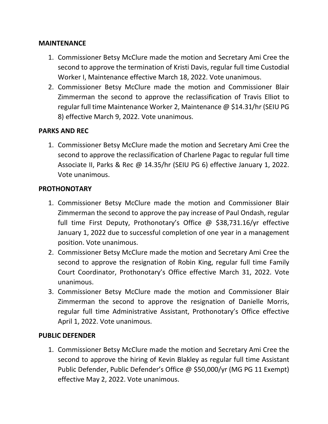### **MAINTENANCE**

- 1. Commissioner Betsy McClure made the motion and Secretary Ami Cree the second to approve the termination of Kristi Davis, regular full time Custodial Worker I, Maintenance effective March 18, 2022. Vote unanimous.
- 2. Commissioner Betsy McClure made the motion and Commissioner Blair Zimmerman the second to approve the reclassification of Travis Elliot to regular full time Maintenance Worker 2, Maintenance @ \$14.31/hr (SEIU PG 8) effective March 9, 2022. Vote unanimous.

# **PARKS AND REC**

1. Commissioner Betsy McClure made the motion and Secretary Ami Cree the second to approve the reclassification of Charlene Pagac to regular full time Associate II, Parks & Rec @ 14.35/hr (SEIU PG 6) effective January 1, 2022. Vote unanimous.

### **PROTHONOTARY**

- 1. Commissioner Betsy McClure made the motion and Commissioner Blair Zimmerman the second to approve the pay increase of Paul Ondash, regular full time First Deputy, Prothonotary's Office @ \$38,731.16/yr effective January 1, 2022 due to successful completion of one year in a management position. Vote unanimous.
- 2. Commissioner Betsy McClure made the motion and Secretary Ami Cree the second to approve the resignation of Robin King, regular full time Family Court Coordinator, Prothonotary's Office effective March 31, 2022. Vote unanimous.
- 3. Commissioner Betsy McClure made the motion and Commissioner Blair Zimmerman the second to approve the resignation of Danielle Morris, regular full time Administrative Assistant, Prothonotary's Office effective April 1, 2022. Vote unanimous.

### **PUBLIC DEFENDER**

1. Commissioner Betsy McClure made the motion and Secretary Ami Cree the second to approve the hiring of Kevin Blakley as regular full time Assistant Public Defender, Public Defender's Office @ \$50,000/yr (MG PG 11 Exempt) effective May 2, 2022. Vote unanimous.